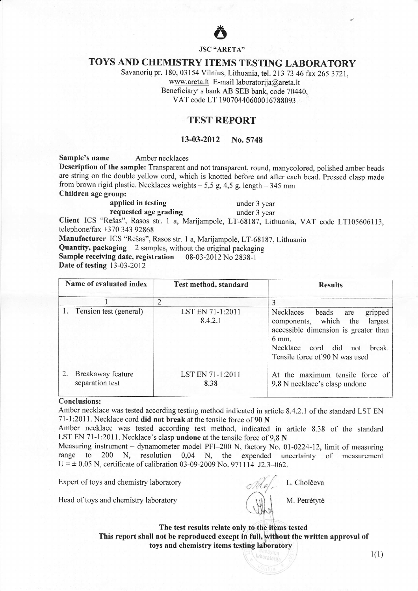

JSC "ARETA»

## TOYS AND CHEMISTRY ITEMS TESTING LABORATORY

Savanoriq pr. 180, 03 154 Vilnius, Lithuania, tel. Zl3 73 46 fax 265 3721, www.areta.lt E-mail laboratorija@areta.lt Beneficiary's bank AB SEB bank, code 70440, VAT code LT 19070440600016788093

### TEST REPORT

#### 13-03-2012 No.5748

Sample's name Amber necklaces

Description of the sample: Transparent and not transparent, round, manycolored, polished amber beads are string on the double yellow cord, which is knotted before and after each bead. Pressed clasp made from brown rigid plastic. Necklaces weights  $-5.5$  g, 4,5 g, length  $-345$  mm

Children age group:

applied in testing under 3 year

requested age grading under 3 year

Client ICS "Rešas", Rasos str. 1 a, Marijampolė, LT-68187, Lithuania, VAT code LT105606113, telephone/fax +370 343 92868

Manufacturer ICS "Rešas", Rasos str. 1 a, Marijampolė, LT-68187, Lithuania

Quantity, packaging 2 samples, without the original packaging

Sample receiving date, registration 08-03-2012 No 2838-1

Date of testing 13-03-2012

| Name of evaluated index                    | Test method, standard       | <b>Results</b>                                                                                                                                                                                 |
|--------------------------------------------|-----------------------------|------------------------------------------------------------------------------------------------------------------------------------------------------------------------------------------------|
|                                            | $\overline{2}$              |                                                                                                                                                                                                |
| 1. Tension test (general)                  | LST EN 71-1:2011<br>8.4.2.1 | Necklaces<br>beads<br>gripped<br>are<br>components, which the<br>largest<br>accessible dimension is greater than<br>6 mm.<br>Necklace cord did not<br>break.<br>Tensile force of 90 N was used |
| 2.<br>Breakaway feature<br>separation test | LST EN 71-1:2011<br>8.38    | At the maximum tensile force of<br>9,8 N necklace's clasp undone                                                                                                                               |

#### Conclusions:

Amber necklace was tested according testing method indicated in article 8.4.2.1 of the standard LST EN 71-l:2011. Necklace cord did not break at the tensile force of 90 N

Amber necklace was tested according test method, indicated in article 8.3S of the standard LST EN 71-1:2011. Necklace's clasp undone at the tensile force of 9.8 N

Measuring instrument – dynamometer model PFI-200 N, factory No. 01-0224-12, limit of measuring range to 200 N, resolution 0,04 N, the expended uncertainty of measurement uncertainty of measurement  $U = \pm 0.05$  N, certificate of calibration 03-09-2009 No. 971114 J2.3-062.

Expert of toys and chemistry laboratory

Head of toys and chemistry laboratory

 $\gamma$  $l$  &  $\!/$   $_{\rm c}$ M. Petrėtytė

L. Cholöeva

The test results relate only to the items tested This report shall not be reproduced except in full, without the written approval of toys and chemistry items testing

 $1(1)$